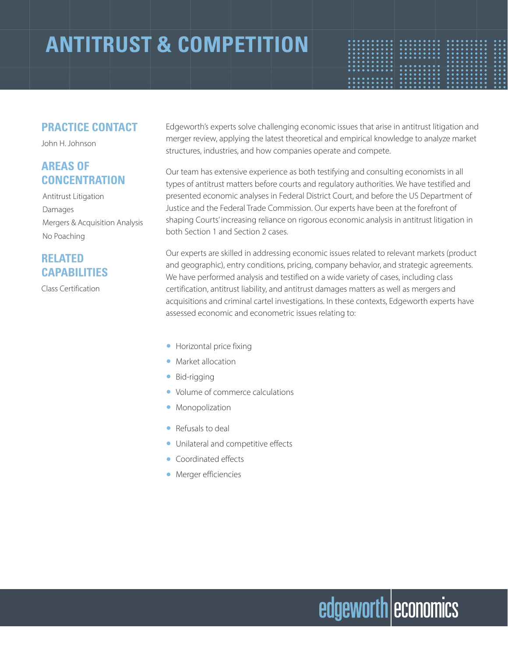### **ANTITRUST & COMPETITION**

| . |  |  |  |  |  |  |  | .             |  |  |   | .             |  |  |  |  | . .                 |  |
|---|--|--|--|--|--|--|--|---------------|--|--|---|---------------|--|--|--|--|---------------------|--|
| . |  |  |  |  |  |  |  | $•••••••••••$ |  |  |   |               |  |  |  |  | $\bullet$ .         |  |
| . |  |  |  |  |  |  |  | .             |  |  |   | $•••••••••••$ |  |  |  |  | $\bullet$ $\bullet$ |  |
| . |  |  |  |  |  |  |  | .             |  |  |   | .             |  |  |  |  | $\bullet\bullet$    |  |
| . |  |  |  |  |  |  |  | .             |  |  |   | .             |  |  |  |  | $\bullet$ $\bullet$ |  |
| . |  |  |  |  |  |  |  |               |  |  |   | .             |  |  |  |  | $\bullet$ $\bullet$ |  |
| . |  |  |  |  |  |  |  | .             |  |  | . |               |  |  |  |  | $\bullet$ .         |  |
| . |  |  |  |  |  |  |  | .             |  |  |   | $•••••••••••$ |  |  |  |  | $\bullet\bullet$    |  |
|   |  |  |  |  |  |  |  | .             |  |  |   | .             |  |  |  |  | $\bullet\bullet$    |  |
| . |  |  |  |  |  |  |  | $.$           |  |  |   | $•••••••••••$ |  |  |  |  | $\bullet\bullet$    |  |
| . |  |  |  |  |  |  |  | .             |  |  |   | $•••••••••••$ |  |  |  |  | $\bullet\bullet$    |  |
| . |  |  |  |  |  |  |  | .             |  |  |   |               |  |  |  |  | .                   |  |
|   |  |  |  |  |  |  |  |               |  |  |   |               |  |  |  |  |                     |  |

#### **PRACTICE CONTACT**

John H. Johnson

### **AREAS OF CONCENTRATION**

Antitrust Litigation Damages Mergers & Acquisition Analysis No Poaching

### **RELATED CAPABILITIES**

Class Certification

Edgeworth's experts solve challenging economic issues that arise in antitrust litigation and merger review, applying the latest theoretical and empirical knowledge to analyze market structures, industries, and how companies operate and compete.

Our team has extensive experience as both testifying and consulting economists in all types of antitrust matters before courts and regulatory authorities. We have testified and presented economic analyses in Federal District Court, and before the US Department of Justice and the Federal Trade Commission. Our experts have been at the forefront of shaping Courts' increasing reliance on rigorous economic analysis in antitrust litigation in both Section 1 and Section 2 cases.

Our experts are skilled in addressing economic issues related to relevant markets (product and geographic), entry conditions, pricing, company behavior, and strategic agreements. We have performed analysis and testified on a wide variety of cases, including class certification, antitrust liability, and antitrust damages matters as well as mergers and acquisitions and criminal cartel investigations. In these contexts, Edgeworth experts have assessed economic and econometric issues relating to:

- Horizontal price fixing
- Market allocation
- Bid-rigging
- Volume of commerce calculations
- Monopolization
- Refusals to deal
- Unilateral and competitive effects
- Coordinated effects
- Merger efficiencies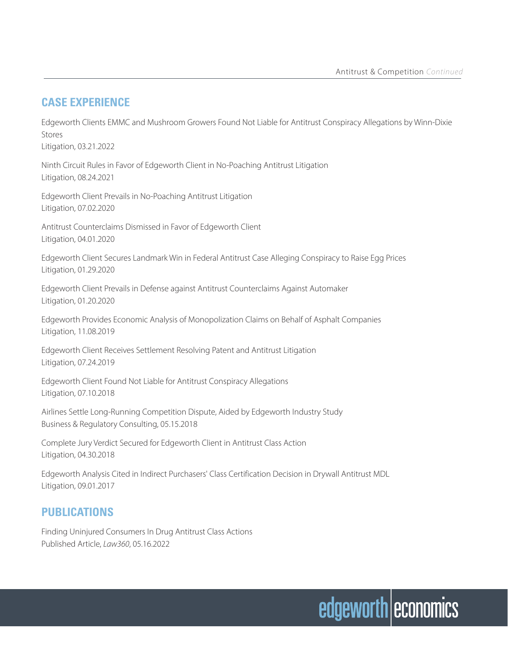#### **CASE EXPERIENCE**

Edgeworth Clients EMMC and Mushroom Growers Found Not Liable for Antitrust Conspiracy Allegations by Winn-Dixie Stores Litigation, 03.21.2022

Ninth Circuit Rules in Favor of Edgeworth Client in No-Poaching Antitrust Litigation Litigation, 08.24.2021

Edgeworth Client Prevails in No-Poaching Antitrust Litigation Litigation, 07.02.2020

Antitrust Counterclaims Dismissed in Favor of Edgeworth Client Litigation, 04.01.2020

Edgeworth Client Secures Landmark Win in Federal Antitrust Case Alleging Conspiracy to Raise Egg Prices Litigation, 01.29.2020

Edgeworth Client Prevails in Defense against Antitrust Counterclaims Against Automaker Litigation, 01.20.2020

Edgeworth Provides Economic Analysis of Monopolization Claims on Behalf of Asphalt Companies Litigation, 11.08.2019

Edgeworth Client Receives Settlement Resolving Patent and Antitrust Litigation Litigation, 07.24.2019

Edgeworth Client Found Not Liable for Antitrust Conspiracy Allegations Litigation, 07.10.2018

Airlines Settle Long-Running Competition Dispute, Aided by Edgeworth Industry Study Business & Regulatory Consulting, 05.15.2018

Complete Jury Verdict Secured for Edgeworth Client in Antitrust Class Action Litigation, 04.30.2018

Edgeworth Analysis Cited in Indirect Purchasers' Class Certification Decision in Drywall Antitrust MDL Litigation, 09.01.2017

### **PUBLICATIONS**

Finding Uninjured Consumers In Drug Antitrust Class Actions Published Article, *Law360*, 05.16.2022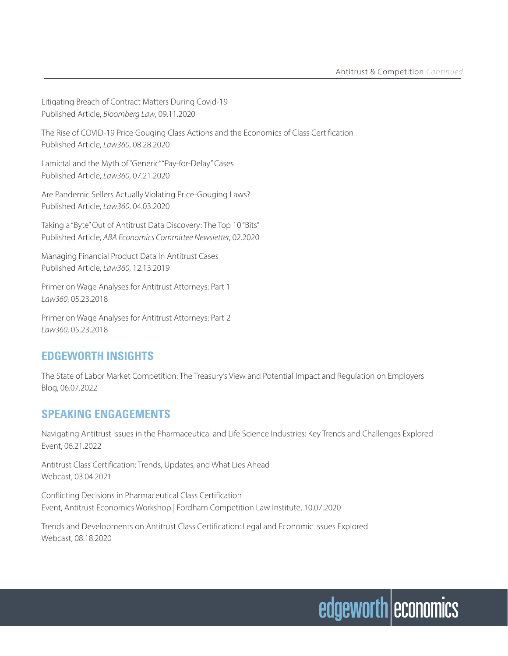Litigating Breach of Contract Matters During Covid-19 Published Article, *Bloomberg Law*, 09.11.2020

The Rise of COVID-19 Price Gouging Class Actions and the Economics of Class Certification Published Article, *Law360*, 08.28.2020

Lamictal and the Myth of "Generic" "Pay-for-Delay" Cases Published Article, *Law360*, 07.21.2020

Are Pandemic Sellers Actually Violating Price-Gouging Laws? Published Article, *Law360*, 04.03.2020

Taking a "Byte" Out of Antitrust Data Discovery: The Top 10 "Bits" Published Article, *ABA Economics Committee Newsletter*, 02.2020

Managing Financial Product Data In Antitrust Cases Published Article, *Law360*, 12.13.2019

Primer on Wage Analyses for Antitrust Attorneys: Part 1 *Law360*, 05.23.2018

Primer on Wage Analyses for Antitrust Attorneys: Part 2 *Law360*, 05.23.2018

### **EDGEWORTH INSIGHTS**

The State of Labor Market Competition: The Treasury's View and Potential Impact and Regulation on Employers Blog, 06.07.2022

### **SPEAKING ENGAGEMENTS**

Navigating Antitrust Issues in the Pharmaceutical and Life Science Industries: Key Trends and Challenges Explored Event, 06.21.2022

Antitrust Class Certification: Trends, Updates, and What Lies Ahead Webcast, 03.04.2021

Conflicting Decisions in Pharmaceutical Class Certification Event, Antitrust Economics Workshop | Fordham Competition Law Institute, 10.07.2020

Trends and Developments on Antitrust Class Certification: Legal and Economic Issues Explored Webcast, 08.18.2020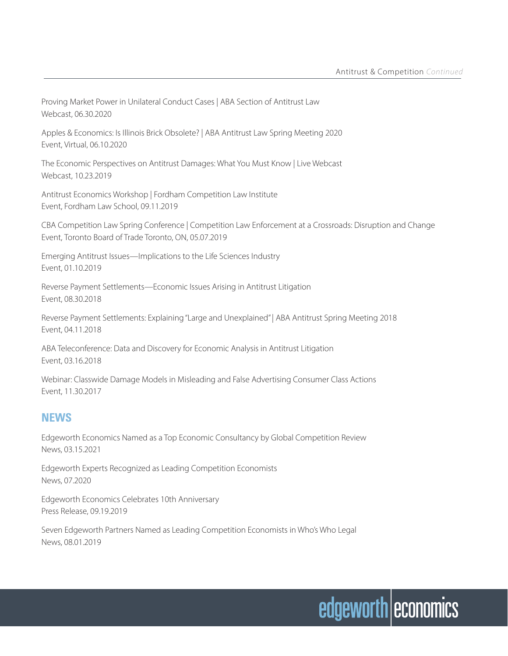Proving Market Power in Unilateral Conduct Cases | ABA Section of Antitrust Law Webcast, 06.30.2020

Apples & Economics: Is Illinois Brick Obsolete? | ABA Antitrust Law Spring Meeting 2020 Event, Virtual, 06.10.2020

The Economic Perspectives on Antitrust Damages: What You Must Know | Live Webcast Webcast, 10.23.2019

Antitrust Economics Workshop | Fordham Competition Law Institute Event, Fordham Law School, 09.11.2019

CBA Competition Law Spring Conference | Competition Law Enforcement at a Crossroads: Disruption and Change Event, Toronto Board of Trade Toronto, ON, 05.07.2019

Emerging Antitrust Issues—Implications to the Life Sciences Industry Event, 01.10.2019

Reverse Payment Settlements—Economic Issues Arising in Antitrust Litigation Event, 08.30.2018

Reverse Payment Settlements: Explaining "Large and Unexplained" | ABA Antitrust Spring Meeting 2018 Event, 04.11.2018

ABA Teleconference: Data and Discovery for Economic Analysis in Antitrust Litigation Event, 03.16.2018

Webinar: Classwide Damage Models in Misleading and False Advertising Consumer Class Actions Event, 11.30.2017

### **NEWS**

Edgeworth Economics Named as a Top Economic Consultancy by Global Competition Review News, 03.15.2021

Edgeworth Experts Recognized as Leading Competition Economists News, 07.2020

Edgeworth Economics Celebrates 10th Anniversary Press Release, 09.19.2019

Seven Edgeworth Partners Named as Leading Competition Economists in Who's Who Legal News, 08.01.2019